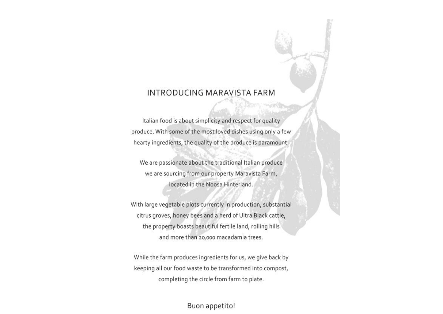### **INTRODUCING MARAVISTA FARM**

Italian food is about simplicity and respect for quality produce. With some of the most loved dishes using only a few hearty ingredients, the quality of the produce is paramount.

We are passionate about the traditional Italian produce we are sourcing from our property Maravista Farm, located in the Noosa Hinterland.

With large vegetable plots currently in production, substantial citrus groves, honey bees and a herd of Ultra Black cattle, the property boasts beautiful fertile land, rolling hills and more than 20,000 macadamia trees.

While the farm produces ingredients for us, we give back by keeping all our food waste to be transformed into compost, completing the circle from farm to plate.

Buon appetito!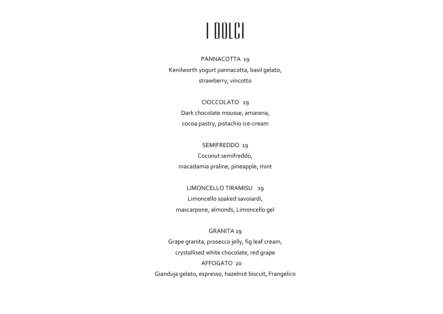## I DOLCI

### PANNACOTTA 19 Kenilworth yogurt pannacotta, basil gelato, strawberry, vincotto

CIOCCOLATO 19 Dark chocolate mousse, amarena, cocoa pastry, pistachio ice-cream

#### SEMIFREDDO 19

Coconut semifreddo, macadamia praline, pineapple, mint

LIMONCELLO TIRAMISU 19 Limoncello soaked savoiardi, mascarpone, almonds, Limoncello gel

### GRANITA 19 Grape granita, prosecco jelly, fig leaf cream, crystallised white chocolate, red grape AFFOGATO 20 Gianduja gelato, espresso, hazelnut biscuit, Frangelico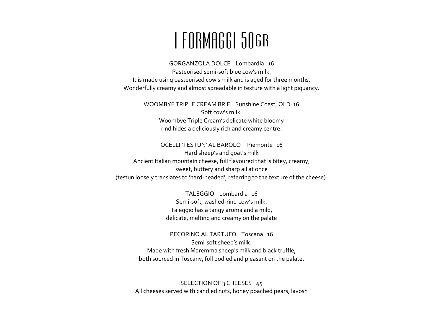## I FORMAGGI 50gr

GORGANZOLA DOLCE Lombardia 16 Pasteurised semi-soft blue cow's milk. It is made using pasteurised cow's milk and is aged for three months. Wonderfully creamy and almost spreadable in texture with a light piquancy.

> WOOMBYE TRIPLE CREAM BRIE Sunshine Coast, QLD 16 Soft cow's milk. Woombye Triple Cream's delicate white bloomy rind hides a deliciously rich and creamy centre.

OCELLI 'TESTUN' AL BAROLO Piemonte 16 Hard sheep's and goat's milk Ancient Italian mountain cheese, full flavoured that is bitey, creamy, sweet, buttery and sharp all at once (testun loosely translates to 'hard-headed', referring to the texture of the cheese).

> TALEGGIO Lombardia 16 Semi-soft, washed-rind cow's milk. Taleggio has a tangy aroma and a mild, delicate, melting and creamy on the palate

PECORINO AL TARTUFO Toscana 16 Semi-soft sheep's milk. Made with fresh Maremma sheep's milk and black truffle, both sourced in Tuscany, full bodied and pleasant on the palate.

SELECTION OF 3 CHEESES 45 All cheeses served with candied nuts, honey poached pears, lavosh